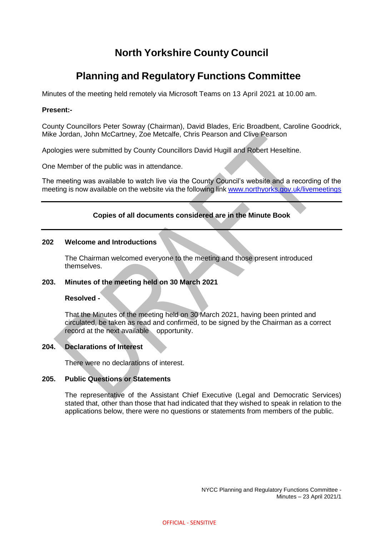# **North Yorkshire County Council**

## **Planning and Regulatory Functions Committee**

Minutes of the meeting held remotely via Microsoft Teams on 13 April 2021 at 10.00 am.

#### **Present:-**

County Councillors Peter Sowray (Chairman), David Blades, Eric Broadbent, Caroline Goodrick, Mike Jordan, John McCartney, Zoe Metcalfe, Chris Pearson and Clive Pearson

Apologies were submitted by County Councillors David Hugill and Robert Heseltine.

One Member of the public was in attendance.

The meeting was available to watch live via the County Council's website and a recording of the meeting is now available on the website via the following link [www.northyorks.gov.uk/livemeetings](http://www.northyorks.gov.uk/livemeetings)

## **Copies of all documents considered are in the Minute Book**

## **202 Welcome and Introductions**

The Chairman welcomed everyone to the meeting and those present introduced themselves.

## **203. Minutes of the meeting held on 30 March 2021**

## **Resolved -**

That the Minutes of the meeting held on 30 March 2021, having been printed and circulated, be taken as read and confirmed, to be signed by the Chairman as a correct record at the next available opportunity.

## **204. Declarations of Interest**

There were no declarations of interest.

## **205. Public Questions or Statements**

The representative of the Assistant Chief Executive (Legal and Democratic Services) stated that, other than those that had indicated that they wished to speak in relation to the applications below, there were no questions or statements from members of the public.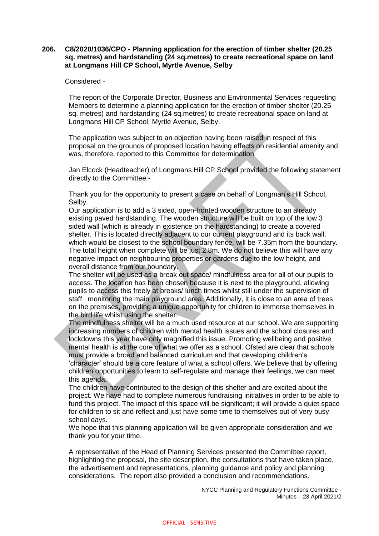#### **206. C8/2020/1036/CPO - Planning application for the erection of timber shelter (20.25 sq. metres) and hardstanding (24 sq.metres) to create recreational space on land at Longmans Hill CP School, Myrtle Avenue, Selby**

Considered -

The report of the Corporate Director, Business and Environmental Services requesting Members to determine a planning application for the erection of timber shelter (20.25 sq. metres) and hardstanding (24 sq.metres) to create recreational space on land at Longmans Hill CP School, Myrtle Avenue, Selby.

The application was subject to an objection having been raised in respect of this proposal on the grounds of proposed location having effects on residential amenity and was, therefore, reported to this Committee for determination.

Jan Elcock (Headteacher) of Longmans Hill CP School provided the following statement directly to the Committee:-

Thank you for the opportunity to present a case on behalf of Longman's Hill School, Selby.

Our application is to add a 3 sided, open-fronted wooden structure to an already existing paved hardstanding. The wooden structure will be built on top of the low 3 sided wall (which is already in existence on the hardstanding) to create a covered shelter. This is located directly adjacent to our current playground and its back wall, which would be closest to the school boundary fence, will be 7.35m from the boundary. The total height when complete will be just 2.8m. We do not believe this will have any negative impact on neighbouring properties or gardens due to the low height, and overall distance from our boundary.

The shelter will be used as a break out space/ mindfulness area for all of our pupils to access. The location has been chosen because it is next to the playground, allowing pupils to access this freely at breaks/ lunch times whilst still under the supervision of staff monitoring the main playground area. Additionally, it is close to an area of trees on the premises, providing a unique opportunity for children to immerse themselves in the bird life whilst using the shelter.

The mindfulness shelter will be a much used resource at our school. We are supporting increasing numbers of children with mental health issues and the school closures and lockdowns this year have only magnified this issue. Promoting wellbeing and positive mental health is at the core of what we offer as a school. Ofsted are clear that schools must provide a broad and balanced curriculum and that developing children's 'character' should be a core feature of what a school offers. We believe that by offering children opportunities to learn to self-regulate and manage their feelings, we can meet this agenda.

The children have contributed to the design of this shelter and are excited about the project. We have had to complete numerous fundraising initiatives in order to be able to fund this project. The impact of this space will be significant; it will provide a quiet space for children to sit and reflect and just have some time to themselves out of very busy school days.

We hope that this planning application will be given appropriate consideration and we thank you for your time.

A representative of the Head of Planning Services presented the Committee report, highlighting the proposal, the site description, the consultations that have taken place, the advertisement and representations, planning guidance and policy and planning considerations. The report also provided a conclusion and recommendations.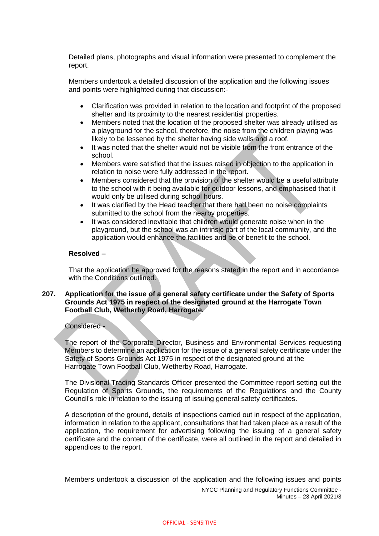Detailed plans, photographs and visual information were presented to complement the report.

Members undertook a detailed discussion of the application and the following issues and points were highlighted during that discussion:-

- Clarification was provided in relation to the location and footprint of the proposed shelter and its proximity to the nearest residential properties.
- Members noted that the location of the proposed shelter was already utilised as a playground for the school, therefore, the noise from the children playing was likely to be lessened by the shelter having side walls and a roof.
- It was noted that the shelter would not be visible from the front entrance of the school.
- Members were satisfied that the issues raised in objection to the application in relation to noise were fully addressed in the report.
- Members considered that the provision of the shelter would be a useful attribute to the school with it being available for outdoor lessons, and emphasised that it would only be utilised during school hours.
- It was clarified by the Head teacher that there had been no noise complaints submitted to the school from the nearby properties.
- It was considered inevitable that children would generate noise when in the playground, but the school was an intrinsic part of the local community, and the application would enhance the facilities and be of benefit to the school.

#### **Resolved –**

That the application be approved for the reasons stated in the report and in accordance with the Conditions outlined.

#### **207. Application for the issue of a general safety certificate under the Safety of Sports Grounds Act 1975 in respect of the designated ground at the Harrogate Town Football Club, Wetherby Road, Harrogate.**

#### Considered -

The report of the Corporate Director, Business and Environmental Services requesting Members to determine an application for the issue of a general safety certificate under the Safety of Sports Grounds Act 1975 in respect of the designated ground at the Harrogate Town Football Club, Wetherby Road, Harrogate.

The Divisional Trading Standards Officer presented the Committee report setting out the Regulation of Sports Grounds, the requirements of the Regulations and the County Council's role in relation to the issuing of issuing general safety certificates.

A description of the ground, details of inspections carried out in respect of the application, information in relation to the applicant, consultations that had taken place as a result of the application, the requirement for advertising following the issuing of a general safety certificate and the content of the certificate, were all outlined in the report and detailed in appendices to the report.

Members undertook a discussion of the application and the following issues and points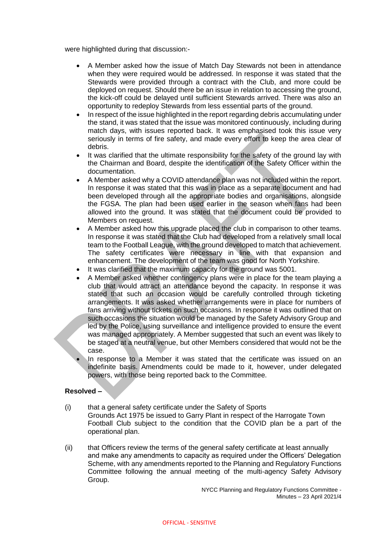were highlighted during that discussion:-

- A Member asked how the issue of Match Day Stewards not been in attendance when they were required would be addressed. In response it was stated that the Stewards were provided through a contract with the Club, and more could be deployed on request. Should there be an issue in relation to accessing the ground, the kick-off could be delayed until sufficient Stewards arrived. There was also an opportunity to redeploy Stewards from less essential parts of the ground.
- In respect of the issue highlighted in the report regarding debris accumulating under the stand, it was stated that the issue was monitored continuously, including during match days, with issues reported back. It was emphasised took this issue very seriously in terms of fire safety, and made every effort to keep the area clear of debris.
- It was clarified that the ultimate responsibility for the safety of the ground lay with the Chairman and Board, despite the identification of the Safety Officer within the documentation.
- A Member asked why a COVID attendance plan was not included within the report. In response it was stated that this was in place as a separate document and had been developed through all the appropriate bodies and organisations, alongside the FGSA. The plan had been used earlier in the season when fans had been allowed into the ground. It was stated that the document could be provided to Members on request.
- A Member asked how this upgrade placed the club in comparison to other teams. In response it was stated that the Club had developed from a relatively small local team to the Football League, with the ground developed to match that achievement. The safety certificates were necessary in line with that expansion and enhancement. The development of the team was good for North Yorkshire.
- It was clarified that the maximum capacity for the ground was 5001.
- A Member asked whether contingency plans were in place for the team playing a club that would attract an attendance beyond the capacity. In response it was stated that such an occasion would be carefully controlled through ticketing arrangements. It was asked whether arrangements were in place for numbers of fans arriving without tickets on such occasions. In response it was outlined that on such occasions the situation would be managed by the Safety Advisory Group and led by the Police, using surveillance and intelligence provided to ensure the event was managed appropriately. A Member suggested that such an event was likely to be staged at a neutral venue, but other Members considered that would not be the case.
- In response to a Member it was stated that the certificate was issued on an indefinite basis. Amendments could be made to it, however, under delegated powers, with those being reported back to the Committee.

## **Resolved –**

- (i) that a general safety certificate under the Safety of Sports Grounds Act 1975 be issued to Garry Plant in respect of the Harrogate Town Football Club subject to the condition that the COVID plan be a part of the operational plan.
- (ii) that Officers review the terms of the general safety certificate at least annually and make any amendments to capacity as required under the Officers' Delegation Scheme, with any amendments reported to the Planning and Regulatory Functions Committee following the annual meeting of the multi-agency Safety Advisory Group.